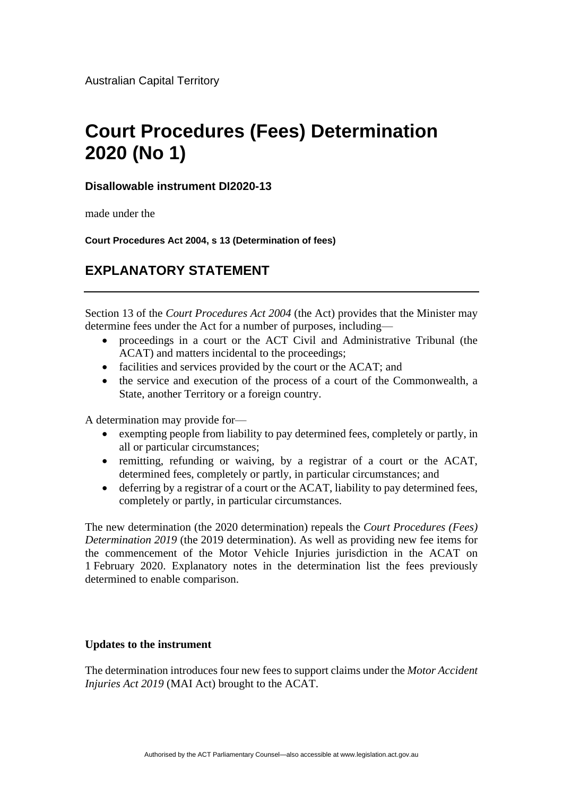## **Court Procedures (Fees) Determination 2020 (No 1)**

## **Disallowable instrument DI2020-13**

made under the

**Court Procedures Act 2004, s 13 (Determination of fees)**

## **EXPLANATORY STATEMENT**

Section 13 of the *Court Procedures Act 2004* (the Act) provides that the Minister may determine fees under the Act for a number of purposes, including—

- proceedings in a court or the ACT Civil and Administrative Tribunal (the ACAT) and matters incidental to the proceedings;
- facilities and services provided by the court or the ACAT; and
- the service and execution of the process of a court of the Commonwealth, a State, another Territory or a foreign country.

A determination may provide for—

- exempting people from liability to pay determined fees, completely or partly, in all or particular circumstances;
- remitting, refunding or waiving, by a registrar of a court or the ACAT, determined fees, completely or partly, in particular circumstances; and
- deferring by a registrar of a court or the ACAT, liability to pay determined fees, completely or partly, in particular circumstances.

The new determination (the 2020 determination) repeals the *Court Procedures (Fees) Determination 2019* (the 2019 determination). As well as providing new fee items for the commencement of the Motor Vehicle Injuries jurisdiction in the ACAT on 1 February 2020. Explanatory notes in the determination list the fees previously determined to enable comparison.

## **Updates to the instrument**

The determination introduces four new fees to support claims under the *Motor Accident Injuries Act 2019* (MAI Act) brought to the ACAT.